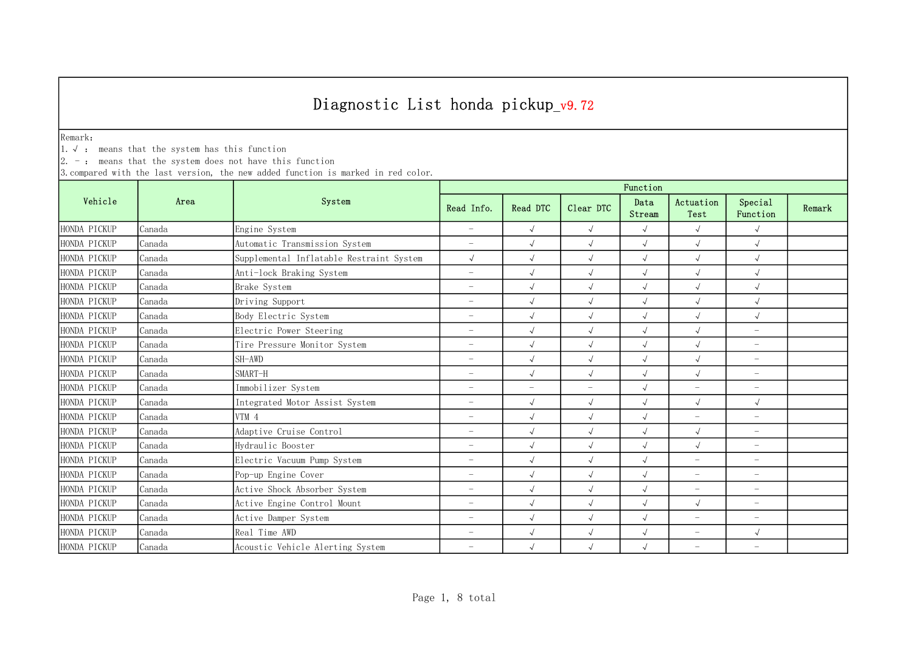Remark:

1.√ : means that the system has this function

 $2. -:$  means that the system does not have this function

|              |        | System                                   | Function                 |                          |                          |                |                          |                          |        |  |
|--------------|--------|------------------------------------------|--------------------------|--------------------------|--------------------------|----------------|--------------------------|--------------------------|--------|--|
| Vehicle      | Area   |                                          | Read Info.               | Read DTC                 | Clear DTC                | Data<br>Stream | Actuation<br>Test        | Special<br>Function      | Remark |  |
| HONDA PICKUP | Canada | Engine System                            | $\overline{\phantom{m}}$ | $\sqrt{ }$               | $\sqrt{ }$               | $\sqrt{ }$     | $\sqrt{ }$               | $\sqrt{ }$               |        |  |
| HONDA PICKUP | Canada | Automatic Transmission System            | $\overline{\phantom{m}}$ | $\sqrt{2}$               | $\sqrt{ }$               | $\sqrt{ }$     | $\sqrt{ }$               | $\sqrt{ }$               |        |  |
| HONDA PICKUP | Canada | Supplemental Inflatable Restraint System | $\sqrt{ }$               | $\sqrt{2}$               | $\sqrt{ }$               | $\sqrt{2}$     | $\sqrt{2}$               | $\sqrt{ }$               |        |  |
| HONDA PICKUP | Canada | Anti-lock Braking System                 | $\overline{\phantom{m}}$ | $\sqrt{2}$               | $\sqrt{ }$               | $\sqrt{2}$     | $\sqrt{ }$               | $\sqrt{ }$               |        |  |
| HONDA PICKUP | Canada | Brake System                             | $\overline{\phantom{m}}$ | $\sqrt{ }$               | $\sqrt{ }$               | $\sqrt{2}$     | $\sqrt{}$                | $\sqrt{2}$               |        |  |
| HONDA PICKUP | Canada | Driving Support                          | $\overline{\phantom{m}}$ | $\sqrt{2}$               | $\sqrt{ }$               | $\sqrt{ }$     | $\sqrt{ }$               | $\sqrt{ }$               |        |  |
| HONDA PICKUP | Canada | Body Electric System                     | ÷                        | $\sqrt{ }$               | $\sqrt{ }$               | $\sqrt{2}$     | $\sqrt{ }$               | $\sqrt{ }$               |        |  |
| HONDA PICKUP | Canada | Electric Power Steering                  | ÷                        | $\sqrt{ }$               | $\sqrt{ }$               | $\sqrt{2}$     | $\sqrt{ }$               | $\overline{\phantom{a}}$ |        |  |
| HONDA PICKUP | Canada | Tire Pressure Monitor System             | $\overline{\phantom{a}}$ | $\sqrt{ }$               | $\sqrt{ }$               | $\sqrt{2}$     | $\sqrt{2}$               | $\overline{\phantom{a}}$ |        |  |
| HONDA PICKUP | Canada | SH-AWD                                   | $\overline{\phantom{m}}$ | $\sqrt{2}$               | $\sqrt{ }$               | $\sqrt{2}$     | $\sqrt{ }$               | $\overline{\phantom{m}}$ |        |  |
| HONDA PICKUP | Canada | SMART-H                                  | $\overline{\phantom{m}}$ | $\sqrt{ }$               | $\sqrt{ }$               | $\sqrt{2}$     | $\sqrt{ }$               | $\overline{\phantom{m}}$ |        |  |
| HONDA PICKUP | Canada | Immobilizer System                       | $\overline{\phantom{m}}$ | $\overline{\phantom{a}}$ | $\overline{\phantom{a}}$ | $\sqrt{ }$     | $\overline{\phantom{0}}$ | $\overline{\phantom{m}}$ |        |  |
| HONDA PICKUP | Canada | Integrated Motor Assist System           | $\overline{\phantom{m}}$ | $\sqrt{ }$               | $\sqrt{ }$               | $\sqrt{2}$     | $\sqrt{ }$               | $\sqrt{ }$               |        |  |
| HONDA PICKUP | Canada | VTM 4                                    | $\overline{\phantom{m}}$ | $\sqrt{ }$               | $\sqrt{ }$               | $\sqrt{2}$     | $\overline{\phantom{m}}$ | $\overline{\phantom{m}}$ |        |  |
| HONDA PICKUP | Canada | Adaptive Cruise Control                  | $\overline{\phantom{m}}$ | $\sqrt{2}$               | $\sqrt{ }$               | $\sqrt{2}$     | $\sqrt{ }$               | $\overline{\phantom{m}}$ |        |  |
| HONDA PICKUP | Canada | Hydraulic Booster                        | $\overline{\phantom{a}}$ | $\sqrt{ }$               | $\sqrt{ }$               | $\sqrt{ }$     | $\sqrt{ }$               | $\overline{\phantom{m}}$ |        |  |
| HONDA PICKUP | Canada | Electric Vacuum Pump System              | $\overline{\phantom{m}}$ | $\sqrt{ }$               | $\sqrt{ }$               | $\sqrt{ }$     | $\overline{\phantom{m}}$ | $\overline{\phantom{a}}$ |        |  |
| HONDA PICKUP | Canada | Pop-up Engine Cover                      | $\overline{\phantom{0}}$ | $\sqrt{}$                | $\sqrt{ }$               | $\sqrt{2}$     | $\overline{\phantom{0}}$ | $\overline{\phantom{a}}$ |        |  |
| HONDA PICKUP | Canada | Active Shock Absorber System             | $\overline{\phantom{a}}$ | $\sqrt{2}$               | $\sqrt{ }$               | $\sqrt{2}$     | $\overline{\phantom{0}}$ | $\overline{\phantom{a}}$ |        |  |
| HONDA PICKUP | Canada | Active Engine Control Mount              | $\overline{\phantom{a}}$ | $\sqrt{2}$               | $\sqrt{ }$               | $\sqrt{ }$     | $\sqrt{ }$               | $\overline{\phantom{m}}$ |        |  |
| HONDA PICKUP | Canada | Active Damper System                     | $\overline{\phantom{a}}$ | $\sqrt{2}$               | $\sqrt{ }$               | $\sqrt{ }$     | $\overline{\phantom{a}}$ | $\overline{\phantom{m}}$ |        |  |
| HONDA PICKUP | Canada | Real Time AWD                            | $\overline{\phantom{m}}$ | $\sqrt{ }$               | $\sqrt{ }$               | $\sqrt{ }$     | $\overline{\phantom{m}}$ | $\sqrt{ }$               |        |  |
| HONDA PICKUP | Canada | Acoustic Vehicle Alerting System         | $\overline{\phantom{0}}$ | $\sqrt{ }$               | $\sqrt{ }$               | $\sqrt{ }$     | $\overline{\phantom{0}}$ | $\overline{\phantom{a}}$ |        |  |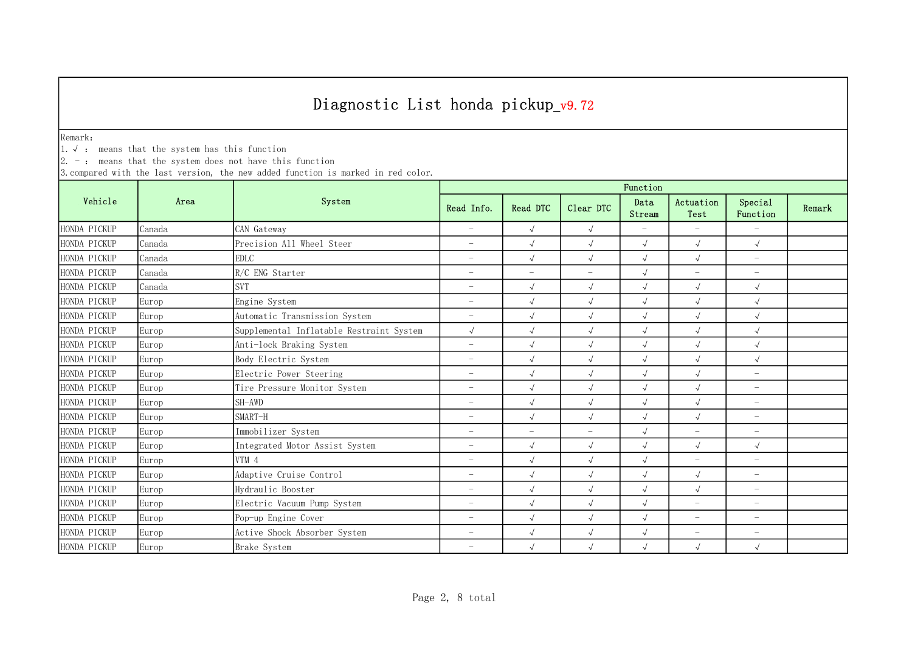Remark:

1.√ : means that the system has this function

 $2. -:$  means that the system does not have this function

|              | Area   | System                                   | Function                 |            |                          |                          |                          |                          |        |  |
|--------------|--------|------------------------------------------|--------------------------|------------|--------------------------|--------------------------|--------------------------|--------------------------|--------|--|
| Vehicle      |        |                                          | Read Info.               | Read DTC   | Clear DTC                | Data<br>Stream           | Actuation<br>Test        | Special<br>Function      | Remark |  |
| HONDA PICKUP | Canada | CAN Gateway                              | $\equiv$                 | $\sqrt{ }$ | $\sqrt{ }$               | $\overline{\phantom{0}}$ | $\overline{\phantom{a}}$ | $\equiv$                 |        |  |
| HONDA PICKUP | Canada | Precision All Wheel Steer                | $\overline{\phantom{m}}$ | $\sqrt{2}$ | $\sqrt{ }$               | $\sqrt{ }$               | $\sqrt{2}$               | $\sqrt{ }$               |        |  |
| HONDA PICKUP | Canada | <b>EDLC</b>                              | $\overline{\phantom{m}}$ | $\sqrt{ }$ | $\sqrt{ }$               | $\sqrt{2}$               | $\sqrt{ }$               | $\overline{\phantom{m}}$ |        |  |
| HONDA PICKUP | Canada | R/C ENG Starter                          | $\overline{\phantom{m}}$ | $-$        | $\overline{\phantom{m}}$ | $\sqrt{ }$               | $\overline{\phantom{m}}$ | $\overline{\phantom{m}}$ |        |  |
| HONDA PICKUP | Canada | <b>SVT</b>                               | $\overline{\phantom{m}}$ | $\sqrt{2}$ | $\sqrt{ }$               | $\sqrt{ }$               | $\sqrt{ }$               | $\sqrt{ }$               |        |  |
| HONDA PICKUP | Europ  | Engine System                            | $\overline{\phantom{m}}$ | $\sqrt{ }$ | $\sqrt{ }$               | $\sqrt{ }$               | $\sqrt{ }$               | $\sqrt{ }$               |        |  |
| HONDA PICKUP | Europ  | Automatic Transmission System            | $\overline{\phantom{0}}$ | $\sqrt{ }$ | $\sqrt{ }$               | $\sqrt{ }$               | $\sqrt{ }$               | $\sqrt{ }$               |        |  |
| HONDA PICKUP | Europ  | Supplemental Inflatable Restraint System | $\sqrt{ }$               | $\sqrt{2}$ | $\sqrt{ }$               | $\sqrt{ }$               | $\sqrt{ }$               | $\sqrt{ }$               |        |  |
| HONDA PICKUP | Europ  | Anti-lock Braking System                 | $\overline{\phantom{m}}$ | $\sqrt{2}$ | $\sqrt{ }$               | $\sqrt{ }$               | $\sqrt{ }$               | $\sqrt{ }$               |        |  |
| HONDA PICKUP | Europ  | Body Electric System                     | $\overline{\phantom{m}}$ | $\sqrt{ }$ | $\sqrt{ }$               | $\sqrt{ }$               | $\sqrt{2}$               | $\sqrt{ }$               |        |  |
| HONDA PICKUP | Europ  | Electric Power Steering                  | $\overline{\phantom{m}}$ | $\sqrt{ }$ | $\sqrt{ }$               | $\sqrt{ }$               | $\sqrt{ }$               | $\overline{\phantom{m}}$ |        |  |
| HONDA PICKUP | Europ  | Tire Pressure Monitor System             | $\overline{\phantom{m}}$ | $\sqrt{ }$ | $\sqrt{ }$               | $\sqrt{2}$               | $\sqrt{2}$               | $\overline{\phantom{m}}$ |        |  |
| HONDA PICKUP | Europ  | SH–AWD                                   | $\overline{\phantom{m}}$ | $\sqrt{2}$ | $\sqrt{ }$               | $\sqrt{}$                | $\sqrt{ }$               | $\overline{\phantom{m}}$ |        |  |
| HONDA PICKUP | Europ  | SMART-H                                  | $\overline{\phantom{m}}$ | $\sqrt{ }$ | $\sqrt{ }$               | $\sqrt{2}$               | $\sqrt{2}$               | $\overline{\phantom{0}}$ |        |  |
| HONDA PICKUP | Europ  | Immobilizer System                       | $\overline{\phantom{m}}$ | $-$        | $\overline{\phantom{m}}$ | $\sqrt{ }$               | $-$                      | $\overline{\phantom{m}}$ |        |  |
| HONDA PICKUP | Europ  | Integrated Motor Assist System           | $\overline{\phantom{a}}$ | $\sqrt{ }$ | $\sqrt{ }$               | $\sqrt{ }$               | $\sqrt{2}$               | $\sqrt{ }$               |        |  |
| HONDA PICKUP | Europ  | VTM 4                                    | $\overline{a}$           | $\sqrt{ }$ | $\sqrt{ }$               | $\sqrt{ }$               | $\overline{\phantom{m}}$ | $\overline{\phantom{m}}$ |        |  |
| HONDA PICKUP | Europ  | Adaptive Cruise Control                  | $\overline{\phantom{a}}$ | $\sqrt{ }$ | $\sqrt{ }$               | $\sqrt{ }$               | $\sqrt{2}$               | $\overline{\phantom{0}}$ |        |  |
| HONDA PICKUP | Europ  | Hydraulic Booster                        | $\overline{\phantom{a}}$ | $\sqrt{2}$ | $\sqrt{ }$               | $\sqrt{ }$               | $\sqrt{2}$               | $\overline{\phantom{0}}$ |        |  |
| HONDA PICKUP | Europ  | Electric Vacuum Pump System              | $\overline{\phantom{m}}$ | $\sqrt{2}$ | $\sqrt{ }$               | $\sqrt{ }$               | $\equiv$                 | $\overline{\phantom{m}}$ |        |  |
| HONDA PICKUP | Europ  | Pop-up Engine Cover                      | $\overline{\phantom{m}}$ | $\sqrt{ }$ | $\sqrt{ }$               | $\sqrt{ }$               | $\overline{\phantom{0}}$ | $\overline{\phantom{m}}$ |        |  |
| HONDA PICKUP | Europ  | Active Shock Absorber System             | $\overline{\phantom{m}}$ | $\sqrt{ }$ | $\sqrt{ }$               | $\sqrt{ }$               | $\overline{\phantom{m}}$ | $\overline{\phantom{m}}$ |        |  |
| HONDA PICKUP | Europ  | Brake System                             | $\overline{\phantom{0}}$ |            | $\sqrt{ }$               | $\sqrt{ }$               | $\sqrt{ }$               | $\sqrt{ }$               |        |  |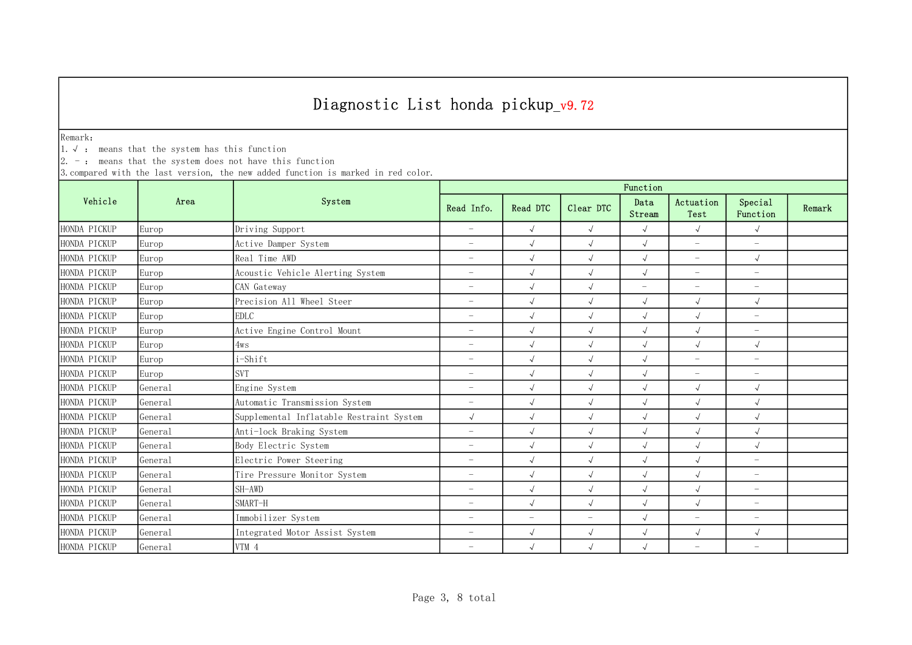Remark:

1.√ : means that the system has this function

 $2. -:$  means that the system does not have this function

|              |                     | System                                   | Function                 |                          |                          |                          |                          |                          |        |  |
|--------------|---------------------|------------------------------------------|--------------------------|--------------------------|--------------------------|--------------------------|--------------------------|--------------------------|--------|--|
| Vehicle      | Area                |                                          | Read Info.               | Read DTC                 | Clear DTC                | Data<br>Stream           | Actuation<br>Test        | Special<br>Function      | Remark |  |
| HONDA PICKUP | Europ               | Driving Support                          | $\overline{\phantom{0}}$ | $\sqrt{ }$               | $\sqrt{ }$               | $\sqrt{ }$               | $\sqrt{ }$               | $\sqrt{ }$               |        |  |
| HONDA PICKUP | Europ               | Active Damper System                     | $\overline{\phantom{m}}$ | $\sqrt{2}$               | $\sqrt{ }$               | $\sqrt{ }$               | $\overline{\phantom{a}}$ | $\overline{\phantom{a}}$ |        |  |
| HONDA PICKUP | Europ               | Real Time AWD                            | $\overline{\phantom{m}}$ | $\sqrt{ }$               | $\sqrt{ }$               | $\sqrt{ }$               | $\overline{\phantom{m}}$ | $\sqrt{ }$               |        |  |
| HONDA PICKUP | Europ               | Acoustic Vehicle Alerting System         | $\overline{\phantom{m}}$ | $\sqrt{2}$               | $\sqrt{ }$               | $\sqrt{ }$               | $\overline{\phantom{m}}$ | $\overline{\phantom{m}}$ |        |  |
| HONDA PICKUP | Europ               | CAN Gateway                              | $\overline{\phantom{a}}$ | $\sqrt{ }$               | $\sqrt{ }$               | $\overline{\phantom{0}}$ | $\overline{\phantom{m}}$ | $\overline{\phantom{m}}$ |        |  |
| HONDA PICKUP | Europ               | Precision All Wheel Steer                | $\overline{\phantom{a}}$ | $\sqrt{2}$               | $\sqrt{ }$               | $\sqrt{ }$               | $\sqrt{ }$               | $\sqrt{ }$               |        |  |
| HONDA PICKUP | Europ               | <b>EDLC</b>                              | $\overline{\phantom{0}}$ | $\sqrt{ }$               | $\sqrt{ }$               | $\sqrt{2}$               | $\sqrt{ }$               | $\overline{\phantom{m}}$ |        |  |
| HONDA PICKUP | Europ               | Active Engine Control Mount              | $\overline{\phantom{a}}$ | $\sqrt{2}$               | $\sqrt{ }$               | $\sqrt{2}$               | $\sqrt{ }$               | $\overline{\phantom{a}}$ |        |  |
| HONDA PICKUP | Europ               | 4ws                                      | $\overline{\phantom{a}}$ | $\sqrt{ }$               | $\sqrt{ }$               | $\sqrt{2}$               | $\sqrt{ }$               | $\sqrt{ }$               |        |  |
| HONDA PICKUP | Europ               | i-Shift                                  | $\overline{\phantom{a}}$ | $\sqrt{2}$               | $\sqrt{ }$               | $\sqrt{ }$               | $\overline{\phantom{m}}$ | $\overline{\phantom{m}}$ |        |  |
| HONDA PICKUP | Europ               | <b>SVT</b>                               | $\overline{\phantom{m}}$ | $\sqrt{2}$               | $\sqrt{ }$               | $\sqrt{ }$               | $\overline{\phantom{m}}$ | $\overline{\phantom{m}}$ |        |  |
| HONDA PICKUP | Genera1             | Engine System                            | $\overline{\phantom{0}}$ | $\sqrt{2}$               | $\sqrt{ }$               | $\sqrt{2}$               | $\sqrt{2}$               | $\sqrt{ }$               |        |  |
| HONDA PICKUP | General             | Automatic Transmission System            | $\overline{\phantom{m}}$ | $\sqrt{ }$               | $\sqrt{ }$               | $\sqrt{2}$               | $\sqrt{2}$               | $\sqrt{ }$               |        |  |
| HONDA PICKUP | General             | Supplemental Inflatable Restraint System | $\sqrt{}$                | $\sqrt{ }$               | $\sqrt{ }$               | $\sqrt{2}$               | $\sqrt{}$                | $\sqrt{ }$               |        |  |
| HONDA PICKUP | General             | Anti-lock Braking System                 | $\overline{\phantom{m}}$ | $\sqrt{2}$               | $\sqrt{ }$               | $\sqrt{ }$               | $\sqrt{ }$               | $\sqrt{ }$               |        |  |
| HONDA PICKUP | General             | Body Electric System                     | $\overline{\phantom{a}}$ | $\sqrt{ }$               | $\sqrt{ }$               | $\sqrt{ }$               | $\sqrt{ }$               | $\sqrt{ }$               |        |  |
| HONDA PICKUP | General             | Electric Power Steering                  | $\overline{\phantom{a}}$ | $\sqrt{ }$               | $\sqrt{ }$               | $\sqrt{ }$               | $\sqrt{ }$               | $\overline{\phantom{m}}$ |        |  |
| HONDA PICKUP | General             | Tire Pressure Monitor System             | $\overline{\phantom{a}}$ | $\sqrt{ }$               | $\sqrt{ }$               | $\sqrt{2}$               | $\sqrt{2}$               | $\overline{\phantom{a}}$ |        |  |
| HONDA PICKUP | Genera1             | SH-AWD                                   | $\overline{\phantom{a}}$ | $\sqrt{2}$               | $\sqrt{ }$               | $\sqrt{2}$               | $\sqrt{ }$               | $\overline{\phantom{m}}$ |        |  |
| HONDA PICKUP | Genera <sub>1</sub> | SMART-H                                  | $\overline{\phantom{m}}$ | $\sqrt{2}$               | $\sqrt{ }$               | $\sqrt{ }$               | $\sqrt{ }$               | $\overline{\phantom{m}}$ |        |  |
| HONDA PICKUP | General             | Immobilizer System                       | $\overline{\phantom{m}}$ | $\overline{\phantom{m}}$ | $\overline{\phantom{0}}$ | $\sqrt{ }$               | $\overline{\phantom{a}}$ | $\overline{\phantom{m}}$ |        |  |
| HONDA PICKUP | Genera1             | Integrated Motor Assist System           | $\overline{\phantom{m}}$ | $\sqrt{ }$               | $\sqrt{ }$               | $\sqrt{ }$               | $\sqrt{ }$               | $\sqrt{ }$               |        |  |
| HONDA PICKUP | General             | VTM 4                                    | $\overline{\phantom{0}}$ | $\sqrt{ }$               | $\sqrt{ }$               | $\sqrt{ }$               | $\overline{\phantom{0}}$ | $\overline{\phantom{a}}$ |        |  |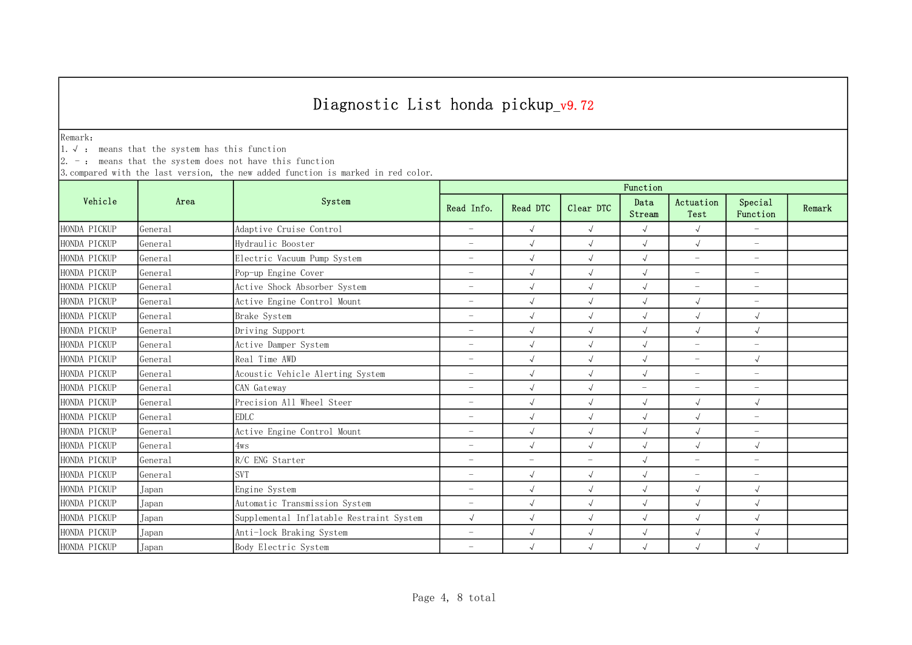Remark:

1.√ : means that the system has this function

 $2. -:$  means that the system does not have this function

|              |                     | System                                   | Function                 |                          |                          |                |                          |                          |        |  |
|--------------|---------------------|------------------------------------------|--------------------------|--------------------------|--------------------------|----------------|--------------------------|--------------------------|--------|--|
| Vehicle      | Area                |                                          | Read Info.               | Read DTC                 | Clear DTC                | Data<br>Stream | Actuation<br>Test        | Special<br>Function      | Remark |  |
| HONDA PICKUP | Genera1             | Adaptive Cruise Control                  | $\overline{\phantom{m}}$ | $\sqrt{ }$               | $\sqrt{ }$               | $\sqrt{ }$     | $\sqrt{ }$               | $\equiv$                 |        |  |
| HONDA PICKUP | General             | Hydraulic Booster                        | $\overline{\phantom{a}}$ | $\sqrt{ }$               | $\sqrt{ }$               | $\sqrt{ }$     | $\sqrt{ }$               | $\overline{\phantom{m}}$ |        |  |
| HONDA PICKUP | General             | Electric Vacuum Pump System              | $\overline{\phantom{a}}$ | $\sqrt{ }$               | $\sqrt{ }$               | $\sqrt{ }$     | $\overline{\phantom{m}}$ | $\overline{\phantom{m}}$ |        |  |
| HONDA PICKUP | Genera <sub>1</sub> | Pop-up Engine Cover                      | $\overline{\phantom{a}}$ | $\sqrt{ }$               | $\sqrt{ }$               | $\sqrt{ }$     | $\overline{\phantom{m}}$ | $\overline{\phantom{m}}$ |        |  |
| HONDA PICKUP | Genera1             | Active Shock Absorber System             | $\overline{\phantom{a}}$ | $\sqrt{2}$               | $\sqrt{ }$               | $\sqrt{ }$     | $\overline{\phantom{m}}$ | $-$                      |        |  |
| HONDA PICKUP | Genera1             | Active Engine Control Mount              | $\overline{\phantom{m}}$ | $\sqrt{ }$               | $\sqrt{ }$               | $\sqrt{ }$     | $\sqrt{ }$               | $\overline{\phantom{m}}$ |        |  |
| HONDA PICKUP | General             | Brake System                             | $\overline{\phantom{a}}$ | $\sqrt{ }$               | $\sqrt{ }$               | $\sqrt{ }$     | $\sqrt{ }$               | $\sqrt{ }$               |        |  |
| HONDA PICKUP | General             | Driving Support                          | $\overline{\phantom{m}}$ | $\sqrt{ }$               | $\sqrt{ }$               | $\sqrt{ }$     | $\sqrt{ }$               | $\sqrt{ }$               |        |  |
| HONDA PICKUP | General             | Active Damper System                     | $\overline{\phantom{0}}$ |                          | $\sqrt{ }$               | $\sqrt{ }$     | $\overline{\phantom{0}}$ | $\overline{\phantom{m}}$ |        |  |
| HONDA PICKUP | General             | Real Time AWD                            | $\overline{\phantom{a}}$ | $\sqrt{ }$               | $\checkmark$             | $\sqrt{ }$     | $\overline{\phantom{0}}$ | $\sqrt{ }$               |        |  |
| HONDA PICKUP | General             | Acoustic Vehicle Alerting System         | $\overline{\phantom{a}}$ | $\sqrt{2}$               | $\sqrt{ }$               | $\sqrt{ }$     | $\overline{\phantom{m}}$ | $\overline{\phantom{m}}$ |        |  |
| HONDA PICKUP | General             | CAN Gateway                              | $\overline{\phantom{m}}$ | $\sqrt{ }$               | $\sqrt{ }$               | $\equiv$       | $\overline{\phantom{m}}$ | $\overline{\phantom{m}}$ |        |  |
| HONDA PICKUP | General             | Precision All Wheel Steer                | $\overline{\phantom{a}}$ | $\sqrt{ }$               | $\sqrt{ }$               | $\sqrt{ }$     | $\sqrt{ }$               | $\sqrt{ }$               |        |  |
| HONDA PICKUP | General             | <b>EDLC</b>                              | $\overline{\phantom{a}}$ | $\sqrt{ }$               | $\sqrt{ }$               | $\sqrt{2}$     | $\sqrt{ }$               | $\overline{\phantom{m}}$ |        |  |
| HONDA PICKUP | General             | Active Engine Control Mount              | $\overline{\phantom{a}}$ | $\sqrt{2}$               | $\sqrt{ }$               | $\sqrt{ }$     | $\sqrt{ }$               | $\overline{\phantom{m}}$ |        |  |
| HONDA PICKUP | General             | 4ws                                      | $\overline{\phantom{m}}$ |                          | $\sqrt{ }$               | $\sqrt{ }$     | $\sqrt{ }$               | $\sqrt{ }$               |        |  |
| HONDA PICKUP | Genera <sub>1</sub> | R/C ENG Starter                          | $\overline{\phantom{m}}$ | $\overline{\phantom{0}}$ | $\overline{\phantom{m}}$ | $\sqrt{ }$     | $\overline{\phantom{m}}$ | $\overline{\phantom{m}}$ |        |  |
| HONDA PICKUP | General             | <b>SVT</b>                               | $\overline{\phantom{a}}$ | $\sqrt{ }$               | $\sqrt{ }$               | $\sqrt{ }$     | $\overline{\phantom{0}}$ | $\overline{\phantom{m}}$ |        |  |
| HONDA PICKUP | Japan               | Engine System                            | $\overline{\phantom{a}}$ |                          | $\sqrt{ }$               | $\sqrt{ }$     | $\sqrt{ }$               | $\sqrt{ }$               |        |  |
| HONDA PICKUP | Japan               | Automatic Transmission System            | $\overline{\phantom{a}}$ | $\sqrt{ }$               | $\sqrt{ }$               | $\sqrt{2}$     | $\sqrt{2}$               | $\sqrt{ }$               |        |  |
| HONDA PICKUP | Japan               | Supplemental Inflatable Restraint System | $\sqrt{ }$               | $\sqrt{ }$               | $\sqrt{ }$               | $\sqrt{ }$     | $\sqrt{}$                | $\sqrt{ }$               |        |  |
| HONDA PICKUP | Japan               | Anti-lock Braking System                 | $\overline{\phantom{m}}$ | $\sqrt{ }$               | $\sqrt{ }$               | $\sqrt{ }$     | $\sqrt{ }$               | $\sqrt{ }$               |        |  |
| HONDA PICKUP | Japan               | Body Electric System                     | $\overline{\phantom{0}}$ | $\sqrt{ }$               | $\sqrt{ }$               | $\sqrt{ }$     | $\sqrt{ }$               | $\sqrt{\phantom{a}}$     |        |  |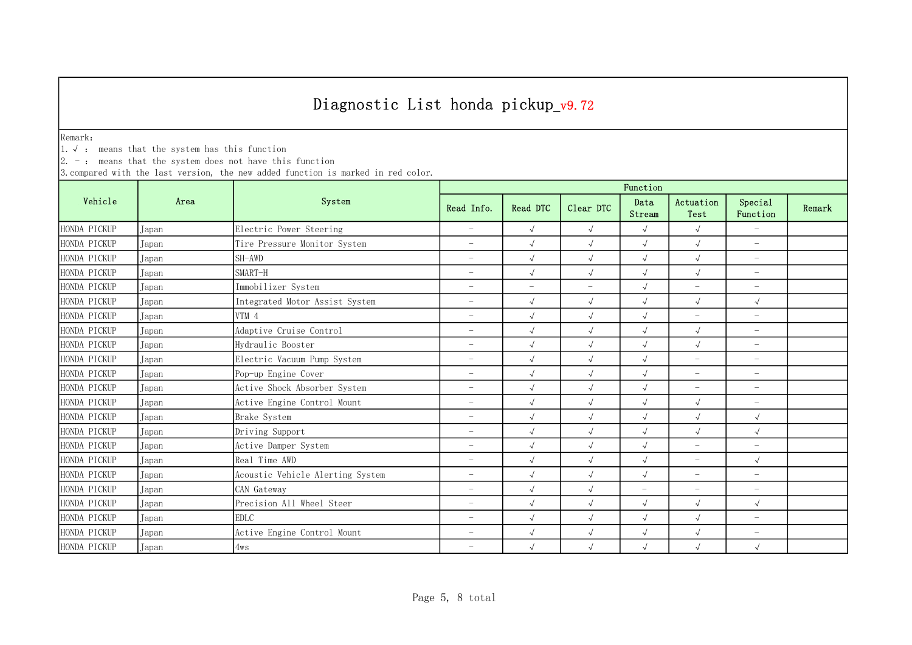Remark:

1.√ : means that the system has this function

 $2. -:$  means that the system does not have this function

|              |       | System                           | Function                 |                          |                          |                          |                          |                          |        |  |
|--------------|-------|----------------------------------|--------------------------|--------------------------|--------------------------|--------------------------|--------------------------|--------------------------|--------|--|
| Vehicle      | Area  |                                  | Read Info.               | Read DTC                 | Clear DTC                | Data<br>Stream           | Actuation<br>Test        | Special<br>Function      | Remark |  |
| HONDA PICKUP | Japan | Electric Power Steering          | $\overline{\phantom{a}}$ | $\sqrt{ }$               | $\sqrt{ }$               | $\sqrt{ }$               | $\sqrt{ }$               | $\overline{\phantom{a}}$ |        |  |
| HONDA PICKUP | Japan | Tire Pressure Monitor System     | $\overline{\phantom{m}}$ | $\sqrt{ }$               | $\sqrt{ }$               | $\sqrt{2}$               | $\sqrt{ }$               | $\overline{\phantom{m}}$ |        |  |
| HONDA PICKUP | Japan | SH-AWD                           | $\overline{\phantom{m}}$ | $\sqrt{ }$               | $\sqrt{ }$               | $\sqrt{ }$               | $\sqrt{ }$               | $\overline{\phantom{m}}$ |        |  |
| HONDA PICKUP | Japan | SMART-H                          | $\overline{\phantom{m}}$ | $\sqrt{ }$               | $\sqrt{ }$               | $\sqrt{2}$               | $\sqrt{2}$               | $\overline{\phantom{a}}$ |        |  |
| HONDA PICKUP | Japan | Immobilizer System               | $\overline{\phantom{a}}$ | $\overline{\phantom{a}}$ | $\overline{\phantom{a}}$ | $\sqrt{2}$               | $\overline{\phantom{m}}$ | $\overline{\phantom{a}}$ |        |  |
| HONDA PICKUP | Japan | Integrated Motor Assist System   | $\overline{\phantom{a}}$ | $\sqrt{ }$               | $\sqrt{ }$               | $\sqrt{ }$               | $\sqrt{ }$               | $\sqrt{ }$               |        |  |
| HONDA PICKUP | Japan | VTM 4                            | $\overline{\phantom{0}}$ |                          | $\sqrt{ }$               | $\sqrt{ }$               | $\overline{\phantom{0}}$ | $\overline{\phantom{a}}$ |        |  |
| HONDA PICKUP | Japan | Adaptive Cruise Control          | $\overline{\phantom{0}}$ | $\sqrt{ }$               | $\sqrt{ }$               | $\sqrt{2}$               | $\sqrt{2}$               | $\overline{\phantom{0}}$ |        |  |
| HONDA PICKUP | Japan | Hydraulic Booster                | $\overline{\phantom{0}}$ |                          | $\sqrt{ }$               | $\sqrt{2}$               | $\sqrt{2}$               | $\overline{\phantom{m}}$ |        |  |
| HONDA PICKUP | Japan | Electric Vacuum Pump System      | $\overline{\phantom{m}}$ | $\sqrt{ }$               | $\sqrt{ }$               | $\sqrt{2}$               | $\overline{\phantom{m}}$ | $\overline{\phantom{m}}$ |        |  |
| HONDA PICKUP | Japan | Pop-up Engine Cover              | $\overline{\phantom{m}}$ | $\sqrt{}$                | $\sqrt{ }$               | $\sqrt{2}$               | $\overline{\phantom{m}}$ | $\overline{\phantom{m}}$ |        |  |
| HONDA PICKUP | Japan | Active Shock Absorber System     | $\overline{\phantom{m}}$ | $\sqrt{ }$               | $\sqrt{ }$               | $\sqrt{2}$               | $\overline{\phantom{m}}$ | $\overline{\phantom{a}}$ |        |  |
| HONDA PICKUP | Japan | Active Engine Control Mount      | $\overline{\phantom{m}}$ | $\sqrt{ }$               | $\sqrt{ }$               | $\sqrt{2}$               | $\sqrt{2}$               | $\overline{\phantom{m}}$ |        |  |
| HONDA PICKUP | Japan | Brake System                     | $\overline{\phantom{m}}$ | $\sqrt{}$                | $\sqrt{ }$               | $\sqrt{2}$               | $\sqrt{2}$               | $\sqrt{ }$               |        |  |
| HONDA PICKUP | Japan | Driving Support                  | $\overline{\phantom{a}}$ | $\sqrt{ }$               | $\sqrt{ }$               | $\sqrt{2}$               | $\sqrt{2}$               | $\sqrt{ }$               |        |  |
| HONDA PICKUP | Japan | Active Damper System             | $\overline{\phantom{m}}$ | $\sqrt{ }$               | $\sqrt{ }$               | $\sqrt{2}$               | $\overline{\phantom{m}}$ | $\overline{\phantom{a}}$ |        |  |
| HONDA PICKUP | Japan | Real Time AWD                    | $\overline{\phantom{a}}$ | $\sqrt{ }$               | $\sqrt{ }$               | $\sqrt{2}$               | $\overline{\phantom{0}}$ | $\sqrt{ }$               |        |  |
| HONDA PICKUP | Japan | Acoustic Vehicle Alerting System | $\overline{\phantom{0}}$ |                          | $\sqrt{ }$               | $\sqrt{2}$               | $\overline{\phantom{0}}$ | $\overline{\phantom{m}}$ |        |  |
| HONDA PICKUP | Japan | CAN Gateway                      | $\overline{\phantom{0}}$ | $\sqrt{ }$               | $\sqrt{ }$               | $\overline{\phantom{0}}$ | $\overline{\phantom{0}}$ | $\overline{\phantom{m}}$ |        |  |
| HONDA PICKUP | Japan | Precision All Wheel Steer        | $\overline{\phantom{a}}$ | $\sqrt{ }$               | $\sqrt{ }$               | $\sqrt{2}$               | $\sqrt{2}$               | $\sqrt{ }$               |        |  |
| HONDA PICKUP | Japan | <b>EDLC</b>                      | $\overline{\phantom{m}}$ | $\sqrt{ }$               | $\sqrt{ }$               | $\sqrt{ }$               | $\sqrt{2}$               | $\overline{\phantom{0}}$ |        |  |
| HONDA PICKUP | Japan | Active Engine Control Mount      | $\overline{\phantom{m}}$ | $\sqrt{ }$               | $\sqrt{ }$               | $\sqrt{2}$               | $\sqrt{2}$               | $\overline{\phantom{m}}$ |        |  |
| HONDA PICKUP | Japan | 4ws                              | $\overline{\phantom{m}}$ | $\sqrt{ }$               | $\sqrt{ }$               | $\sqrt{ }$               | $\sqrt{2}$               | $\sqrt{ }$               |        |  |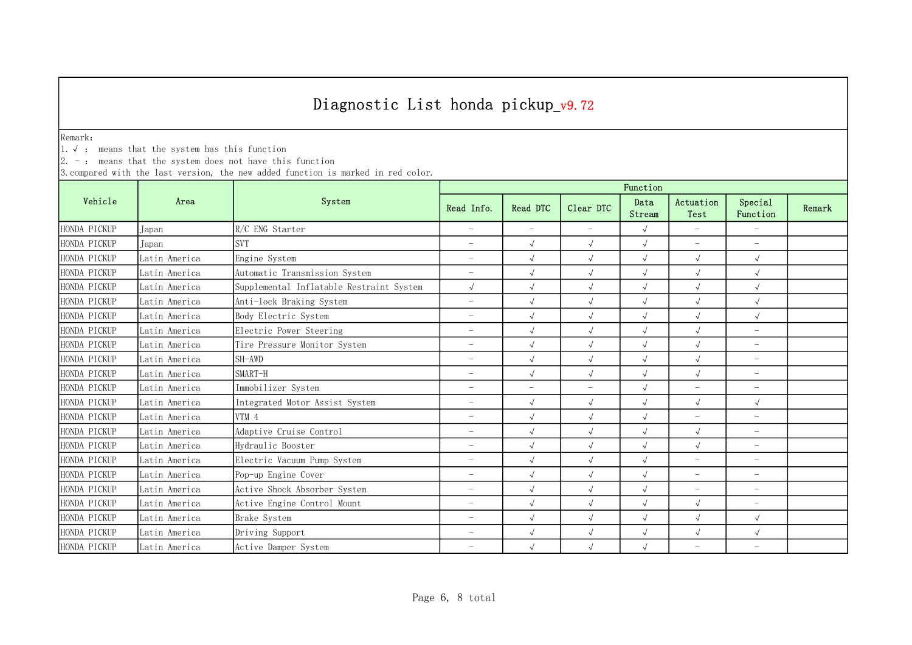Remark:

1.√ : means that the system has this function

 $2. -:$  means that the system does not have this function

|              | Area          | System                                   | Function                 |                          |                          |                |                          |                          |        |  |
|--------------|---------------|------------------------------------------|--------------------------|--------------------------|--------------------------|----------------|--------------------------|--------------------------|--------|--|
| Vehicle      |               |                                          | Read Info.               | Read DTC                 | Clear DTC                | Data<br>Stream | Actuation<br>Test        | Special<br>Function      | Remark |  |
| HONDA PICKUP | Japan         | R/C ENG Starter                          | $\overline{\phantom{a}}$ | $\overline{\phantom{0}}$ | $\overline{\phantom{m}}$ | $\sqrt{ }$     | $\equiv$                 | $\overline{\phantom{0}}$ |        |  |
| HONDA PICKUP | Japan         | <b>SVT</b>                               | $\overline{\phantom{a}}$ | $\sqrt{ }$               | $\sqrt{ }$               | $\sqrt{ }$     | $\equiv$                 | $\overline{\phantom{m}}$ |        |  |
| HONDA PICKUP | Latin America | Engine System                            | $\overline{\phantom{a}}$ | $\sqrt{2}$               | $\sqrt{ }$               | $\sqrt{ }$     | $\sqrt{2}$               | $\sqrt{ }$               |        |  |
| HONDA PICKUP | Latin America | Automatic Transmission System            | $\overline{\phantom{m}}$ | $\sqrt{2}$               | $\sqrt{ }$               | $\sqrt{ }$     | $\sqrt{2}$               | $\sqrt{ }$               |        |  |
| HONDA PICKUP | Latin America | Supplemental Inflatable Restraint System | $\sqrt{ }$               |                          | $\sqrt{ }$               | $\sqrt{ }$     | $\sqrt{ }$               | $\sqrt{ }$               |        |  |
| HONDA PICKUP | Latin America | Anti-lock Braking System                 | $\overline{\phantom{a}}$ |                          | $\sqrt{ }$               | $\sqrt{ }$     | $\sqrt{2}$               | $\sqrt{ }$               |        |  |
| HONDA PICKUP | Latin America | Body Electric System                     | $\overline{\phantom{a}}$ |                          | $\sqrt{ }$               | $\sqrt{ }$     | $\sqrt{2}$               | $\sqrt{ }$               |        |  |
| HONDA PICKUP | Latin America | Electric Power Steering                  | $\overline{\phantom{0}}$ | $\sqrt{ }$               | $\sqrt{ }$               | $\sqrt{ }$     | $\sqrt{ }$               | $\overline{\phantom{m}}$ |        |  |
| HONDA PICKUP | Latin America | Tire Pressure Monitor System             | $\overline{\phantom{0}}$ |                          | $\sqrt{ }$               | $\sqrt{ }$     | $\sqrt{2}$               | $\overline{\phantom{m}}$ |        |  |
| HONDA PICKUP | Latin America | SH-AWD                                   | $\overline{\phantom{a}}$ | $\sqrt{2}$               | $\checkmark$             | $\sqrt{ }$     | $\sqrt{}$                | $\overline{\phantom{0}}$ |        |  |
| HONDA PICKUP | Latin America | SMART-H                                  | $\overline{\phantom{a}}$ | $\sqrt{2}$               | $\sqrt{}$                | $\sqrt{ }$     | $\sqrt{ }$               | $\overline{\phantom{m}}$ |        |  |
| HONDA PICKUP | Latin America | Immobilizer System                       | $\overline{\phantom{a}}$ | $\overline{\phantom{0}}$ | $\overline{\phantom{m}}$ | $\sqrt{ }$     | $\overline{\phantom{m}}$ | $\overline{\phantom{m}}$ |        |  |
| HONDA PICKUP | Latin America | Integrated Motor Assist System           | $\overline{\phantom{m}}$ | $\sqrt{ }$               | $\sqrt{ }$               | $\sqrt{ }$     | $\sqrt{ }$               | $\sqrt{ }$               |        |  |
| HONDA PICKUP | Latin America | VTM 4                                    | $\overline{\phantom{a}}$ |                          | $\sqrt{ }$               | $\sqrt{ }$     | $\overline{\phantom{m}}$ | $\overline{\phantom{0}}$ |        |  |
| HONDA PICKUP | Latin America | Adaptive Cruise Control                  | $\overline{\phantom{a}}$ | $\sqrt{2}$               | $\sqrt{ }$               | $\sqrt{2}$     | $\sqrt{ }$               | $\overline{\phantom{m}}$ |        |  |
| HONDA PICKUP | Latin America | Hydraulic Booster                        | $\overline{\phantom{m}}$ |                          | $\sqrt{ }$               | $\sqrt{ }$     | $\sqrt{2}$               | $\qquad \qquad -$        |        |  |
| HONDA PICKUP | Latin America | Electric Vacuum Pump System              | $\overline{\phantom{a}}$ | $\sqrt{ }$               | $\sqrt{ }$               | $\sqrt{ }$     | $\overline{\phantom{m}}$ | $\overline{\phantom{m}}$ |        |  |
| HONDA PICKUP | Latin America | Pop-up Engine Cover                      | $\overline{\phantom{0}}$ |                          | $\sqrt{ }$               | $\sqrt{ }$     | $\overline{\phantom{0}}$ | $\overline{\phantom{m}}$ |        |  |
| HONDA PICKUP | Latin America | Active Shock Absorber System             | $\overline{\phantom{0}}$ |                          | $\sqrt{ }$               | $\sqrt{2}$     | $\overline{\phantom{0}}$ | $\overline{\phantom{0}}$ |        |  |
| HONDA PICKUP | Latin America | Active Engine Control Mount              | $\overline{\phantom{0}}$ | $\sqrt{ }$               | $\sqrt{ }$               | $\sqrt{2}$     | $\sqrt{2}$               | $\overline{\phantom{m}}$ |        |  |
| HONDA PICKUP | Latin America | Brake System                             | $\overline{\phantom{a}}$ | $\sqrt{ }$               | $\sqrt{ }$               | $\sqrt{ }$     | $\sqrt{ }$               | $\sqrt{ }$               |        |  |
| HONDA PICKUP | Latin America | Driving Support                          | $\overline{\phantom{m}}$ | $\sqrt{ }$               | $\sqrt{ }$               | $\sqrt{ }$     | $\sqrt{ }$               | $\sqrt{ }$               |        |  |
| HONDA PICKUP | Latin America | Active Damper System                     | $\overline{\phantom{0}}$ | $\sqrt{ }$               | $\sqrt{ }$               | $\sqrt{ }$     | $\overline{\phantom{0}}$ | $\overline{\phantom{0}}$ |        |  |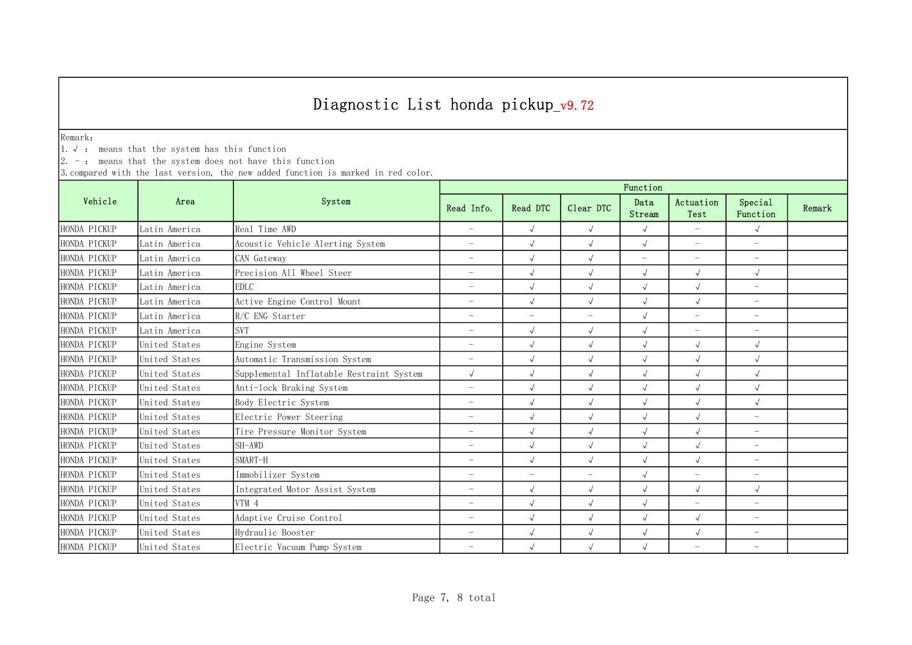Remark:

1.√ : means that the system has this function

 $2. -:$  means that the system does not have this function

|              | Area          | System                                   | Function                 |                          |                          |                          |                          |                          |        |  |
|--------------|---------------|------------------------------------------|--------------------------|--------------------------|--------------------------|--------------------------|--------------------------|--------------------------|--------|--|
| Vehicle      |               |                                          | Read Info.               | Read DTC                 | Clear DTC                | Data<br>Stream           | Actuation<br>Test        | Special<br>Function      | Remark |  |
| HONDA PICKUP | Latin America | Real Time AWD                            | $\overline{\phantom{m}}$ | $\sqrt{ }$               | $\sqrt{ }$               | $\sqrt{ }$               | $-$                      | $\sqrt{ }$               |        |  |
| HONDA PICKUP | Latin America | Acoustic Vehicle Alerting System         | $\overline{\phantom{a}}$ | $\sqrt{ }$               | $\sqrt{ }$               | $\sqrt{ }$               | $\overline{\phantom{m}}$ | $\overline{\phantom{m}}$ |        |  |
| HONDA PICKUP | Latin America | CAN Gateway                              | $\overline{\phantom{0}}$ | $\sqrt{2}$               | $\sqrt{ }$               | $\overline{\phantom{0}}$ | $\overline{\phantom{m}}$ | $\overline{\phantom{m}}$ |        |  |
| HONDA PICKUP | Latin America | Precision All Wheel Steer                | $\overline{\phantom{a}}$ |                          | $\sqrt{ }$               | $\sqrt{ }$               | $\sqrt{2}$               | $\sqrt{ }$               |        |  |
| HONDA PICKUP | Latin America | <b>EDLC</b>                              | $\overline{\phantom{m}}$ |                          | $\sqrt{ }$               | $\sqrt{ }$               | $\sqrt{2}$               | $\overline{\phantom{m}}$ |        |  |
| HONDA PICKUP | Latin America | Active Engine Control Mount              | $\overline{\phantom{m}}$ | $\sqrt{ }$               | $\sqrt{ }$               | $\sqrt{ }$               | $\sqrt{ }$               | $\overline{\phantom{m}}$ |        |  |
| HONDA PICKUP | Latin America | R/C ENG Starter                          | $\overline{\phantom{0}}$ | $\overline{\phantom{0}}$ | $\overline{\phantom{a}}$ | $\sqrt{ }$               | $\overline{\phantom{m}}$ | $\overline{\phantom{0}}$ |        |  |
| HONDA PICKUP | Latin America | <b>SVT</b>                               | $\overline{\phantom{a}}$ | $\sqrt{ }$               | $\sqrt{ }$               | $\sqrt{ }$               | $\overline{\phantom{0}}$ | $\qquad \qquad -$        |        |  |
| HONDA PICKUP | United States | Engine System                            | $\overline{\phantom{a}}$ |                          | $\sqrt{ }$               | $\sqrt{ }$               | $\sqrt{ }$               | $\sqrt{ }$               |        |  |
| HONDA PICKUP | United States | Automatic Transmission System            | $\overline{\phantom{a}}$ | $\sqrt{ }$               | $\sqrt{2}$               | $\sqrt{ }$               | $\sqrt{2}$               | $\sqrt{ }$               |        |  |
| HONDA PICKUP | United States | Supplemental Inflatable Restraint System | $\sqrt{ }$               | $\sqrt{ }$               | $\sqrt{ }$               | $\sqrt{ }$               | $\sqrt{ }$               | $\sqrt{ }$               |        |  |
| HONDA PICKUP | United States | Anti-lock Braking System                 | $\overline{\phantom{a}}$ | $\sqrt{ }$               | $\sqrt{ }$               | $\sqrt{2}$               | $\sqrt{ }$               | $\sqrt{ }$               |        |  |
| HONDA PICKUP | United States | Body Electric System                     | $\overline{\phantom{a}}$ | $\sqrt{2}$               | $\sqrt{ }$               | $\sqrt{ }$               | $\sqrt{ }$               | $\sqrt{ }$               |        |  |
| HONDA PICKUP | United States | Electric Power Steering                  | $\overline{\phantom{a}}$ |                          | $\sqrt{ }$               | $\sqrt{ }$               |                          | $-$                      |        |  |
| HONDA PICKUP | United States | Tire Pressure Monitor System             | $\overline{\phantom{m}}$ | $\sqrt{ }$               | $\sqrt{ }$               | $\sqrt{ }$               | $\sqrt{ }$               | $\overline{\phantom{m}}$ |        |  |
| HONDA PICKUP | United States | SH-AWD                                   | $\overline{\phantom{a}}$ |                          | $\sqrt{ }$               | $\sqrt{ }$               | $\sqrt{ }$               | $\overline{\phantom{m}}$ |        |  |
| HONDA PICKUP | United States | SMART-H                                  | $\overline{\phantom{m}}$ | $\sqrt{ }$               | $\sqrt{ }$               | $\sqrt{ }$               | $\sqrt{ }$               | $\overline{\phantom{m}}$ |        |  |
| HONDA PICKUP | United States | Immobilizer System                       | $\overline{\phantom{0}}$ | $\overline{\phantom{0}}$ | $\overline{\phantom{a}}$ | $\sqrt{2}$               | $\overline{\phantom{a}}$ | $\overline{\phantom{m}}$ |        |  |
| HONDA PICKUP | United States | Integrated Motor Assist System           | $\overline{\phantom{a}}$ | $\sqrt{ }$               | $\sqrt{ }$               | $\sqrt{ }$               | $\sqrt{2}$               | $\sqrt{ }$               |        |  |
| HONDA PICKUP | United States | VTM 4                                    | $\overline{\phantom{a}}$ | $\sqrt{ }$               | $\sqrt{2}$               | $\sqrt{ }$               | $\equiv$                 | $\overline{\phantom{m}}$ |        |  |
| HONDA PICKUP | United States | Adaptive Cruise Control                  | $\overline{\phantom{a}}$ | $\sqrt{ }$               | $\sqrt{ }$               | $\sqrt{ }$               | $\sqrt{ }$               | $\overline{\phantom{m}}$ |        |  |
| HONDA PICKUP | United States | Hydraulic Booster                        | $\overline{\phantom{m}}$ | $\sqrt{ }$               | $\sqrt{ }$               | $\sqrt{ }$               | $\sqrt{ }$               | $\overline{\phantom{m}}$ |        |  |
| HONDA PICKUP | United States | Electric Vacuum Pump System              | $\overline{\phantom{0}}$ |                          | $\sqrt{ }$               | $\sqrt{ }$               | $\overline{\phantom{a}}$ | $\overline{\phantom{0}}$ |        |  |